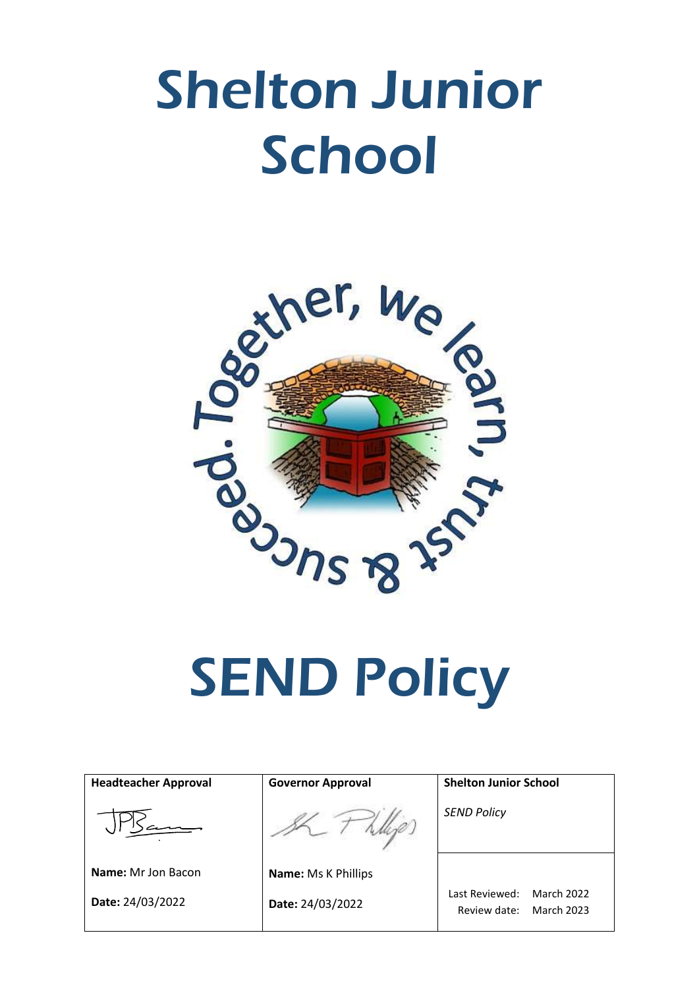# Shelton Junior **School**



| <b>Headteacher Approval</b> | <b>Governor Approval</b>   | <b>Shelton Junior School</b>                                             |
|-----------------------------|----------------------------|--------------------------------------------------------------------------|
|                             |                            | <b>SEND Policy</b>                                                       |
| <b>Name:</b> Mr Jon Bacon   | <b>Name: Ms K Phillips</b> |                                                                          |
| Date: 24/03/2022            | Date: 24/03/2022           | Last Reviewed:<br><b>March 2022</b><br><b>March 2023</b><br>Review date: |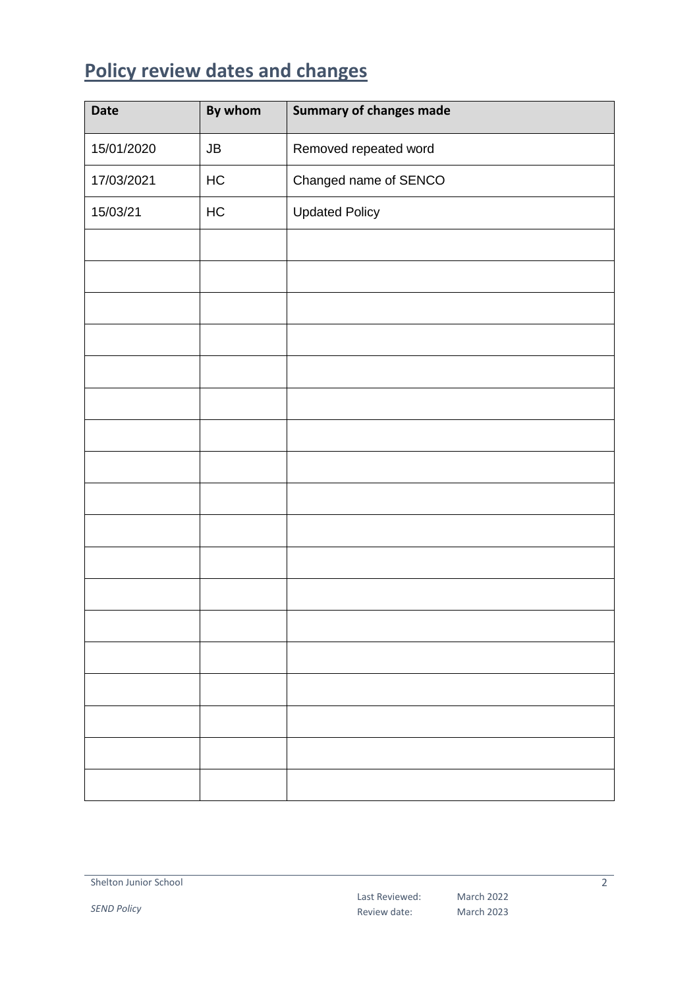# <span id="page-1-0"></span>**Policy review dates and changes**

| <b>Date</b> | By whom    | <b>Summary of changes made</b> |
|-------------|------------|--------------------------------|
| 15/01/2020  | ${\sf JB}$ | Removed repeated word          |
| 17/03/2021  | HC         | Changed name of SENCO          |
| 15/03/21    | HC         | <b>Updated Policy</b>          |
|             |            |                                |
|             |            |                                |
|             |            |                                |
|             |            |                                |
|             |            |                                |
|             |            |                                |
|             |            |                                |
|             |            |                                |
|             |            |                                |
|             |            |                                |
|             |            |                                |
|             |            |                                |
|             |            |                                |
|             |            |                                |
|             |            |                                |
|             |            |                                |
|             |            |                                |
|             |            |                                |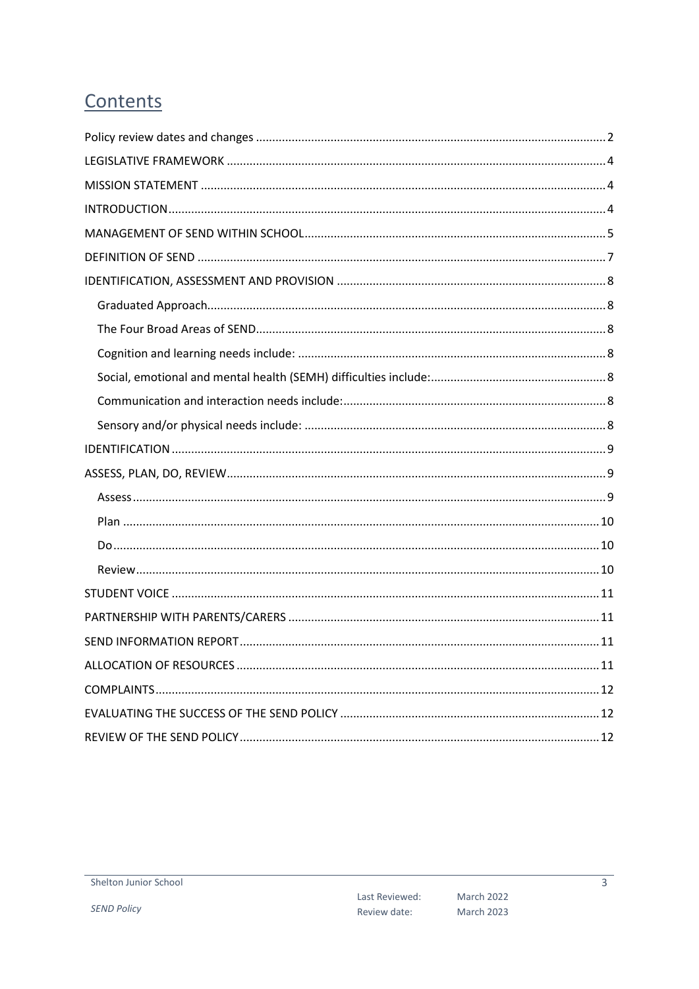# Contents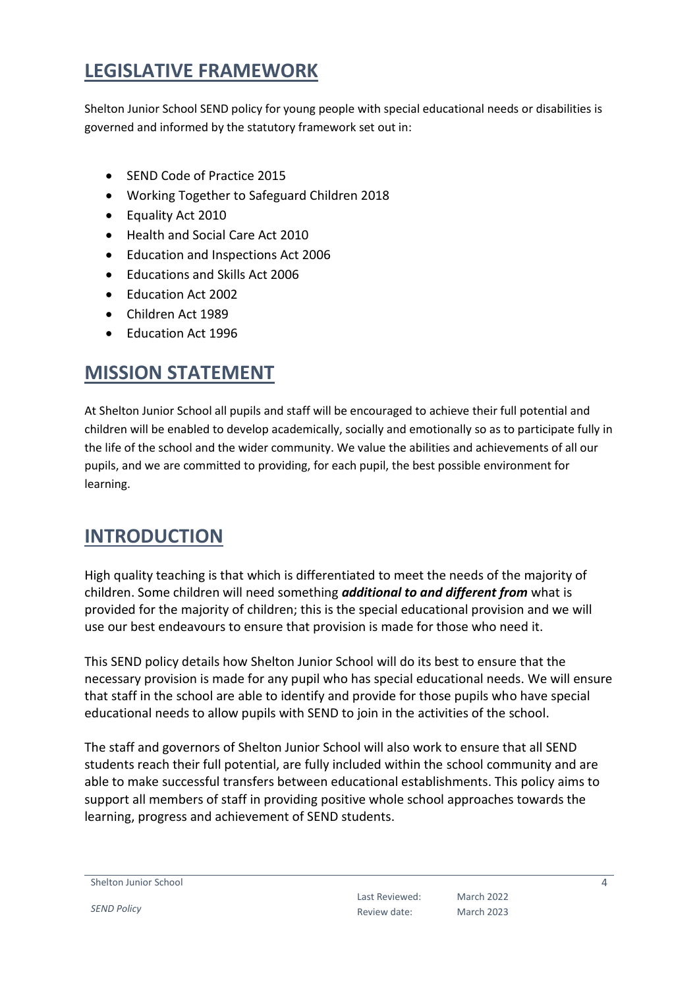# <span id="page-3-0"></span>**LEGISLATIVE FRAMEWORK**

Shelton Junior School SEND policy for young people with special educational needs or disabilities is governed and informed by the statutory framework set out in:

- SEND Code of Practice 2015
- Working Together to Safeguard Children 2018
- Equality Act 2010
- Health and Social Care Act 2010
- Education and Inspections Act 2006
- Educations and Skills Act 2006
- Education Act 2002
- Children Act 1989
- Fducation Act 1996

# <span id="page-3-1"></span>**MISSION STATEMENT**

At Shelton Junior School all pupils and staff will be encouraged to achieve their full potential and children will be enabled to develop academically, socially and emotionally so as to participate fully in the life of the school and the wider community. We value the abilities and achievements of all our pupils, and we are committed to providing, for each pupil, the best possible environment for learning.

## <span id="page-3-2"></span>**INTRODUCTION**

High quality teaching is that which is differentiated to meet the needs of the majority of children. Some children will need something *additional to and different from* what is provided for the majority of children; this is the special educational provision and we will use our best endeavours to ensure that provision is made for those who need it.

This SEND policy details how Shelton Junior School will do its best to ensure that the necessary provision is made for any pupil who has special educational needs. We will ensure that staff in the school are able to identify and provide for those pupils who have special educational needs to allow pupils with SEND to join in the activities of the school.

The staff and governors of Shelton Junior School will also work to ensure that all SEND students reach their full potential, are fully included within the school community and are able to make successful transfers between educational establishments. This policy aims to support all members of staff in providing positive whole school approaches towards the learning, progress and achievement of SEND students.

Shelton Junior School

*SEND Policy*

Last Reviewed: Review date: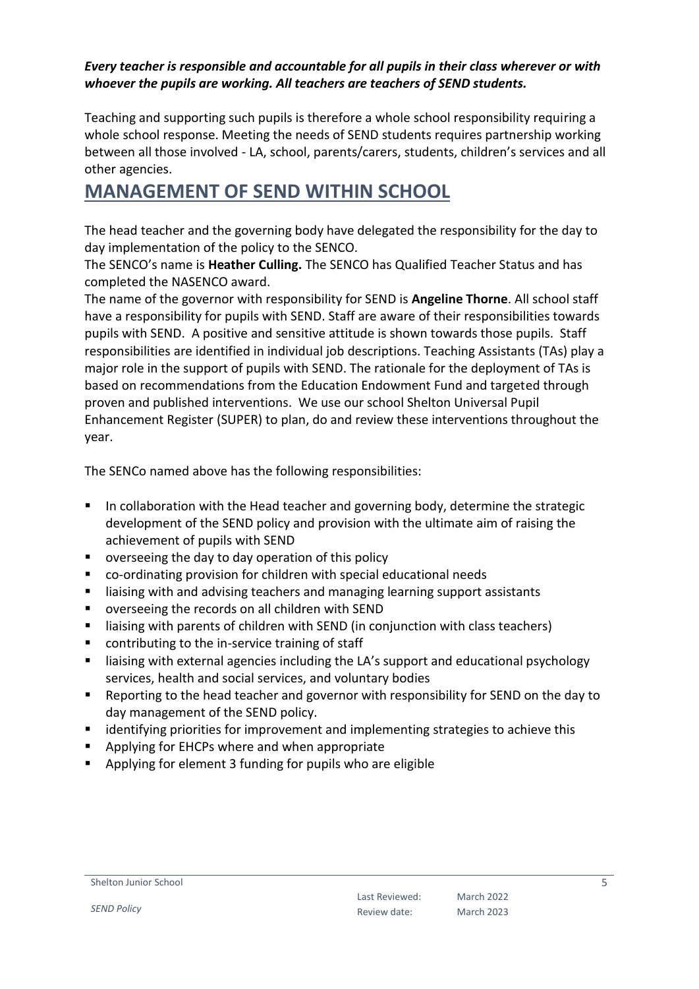#### *Every teacher is responsible and accountable for all pupils in their class wherever or with whoever the pupils are working. All teachers are teachers of SEND students.*

Teaching and supporting such pupils is therefore a whole school responsibility requiring a whole school response. Meeting the needs of SEND students requires partnership working between all those involved - LA, school, parents/carers, students, children's services and all other agencies.

# <span id="page-4-0"></span>**MANAGEMENT OF SEND WITHIN SCHOOL**

The head teacher and the governing body have delegated the responsibility for the day to day implementation of the policy to the SENCO.

The SENCO's name is **Heather Culling.** The SENCO has Qualified Teacher Status and has completed the NASENCO award.

The name of the governor with responsibility for SEND is **Angeline Thorne**. All school staff have a responsibility for pupils with SEND. Staff are aware of their responsibilities towards pupils with SEND. A positive and sensitive attitude is shown towards those pupils. Staff responsibilities are identified in individual job descriptions. Teaching Assistants (TAs) play a major role in the support of pupils with SEND. The rationale for the deployment of TAs is based on recommendations from the Education Endowment Fund and targeted through proven and published interventions. We use our school Shelton Universal Pupil Enhancement Register (SUPER) to plan, do and review these interventions throughout the year.

The SENCo named above has the following responsibilities:

- **IF** In collaboration with the Head teacher and governing body, determine the strategic development of the SEND policy and provision with the ultimate aim of raising the achievement of pupils with SEND
- overseeing the day to day operation of this policy
- co-ordinating provision for children with special educational needs
- liaising with and advising teachers and managing learning support assistants
- overseeing the records on all children with SEND
- liaising with parents of children with SEND (in conjunction with class teachers)
- contributing to the in-service training of staff
- **E** liaising with external agencies including the LA's support and educational psychology services, health and social services, and voluntary bodies
- Reporting to the head teacher and governor with responsibility for SEND on the day to day management of the SEND policy.
- **EXT** identifying priorities for improvement and implementing strategies to achieve this
- **Applying for EHCPs where and when appropriate**
- Applying for element 3 funding for pupils who are eligible

#### Shelton Junior School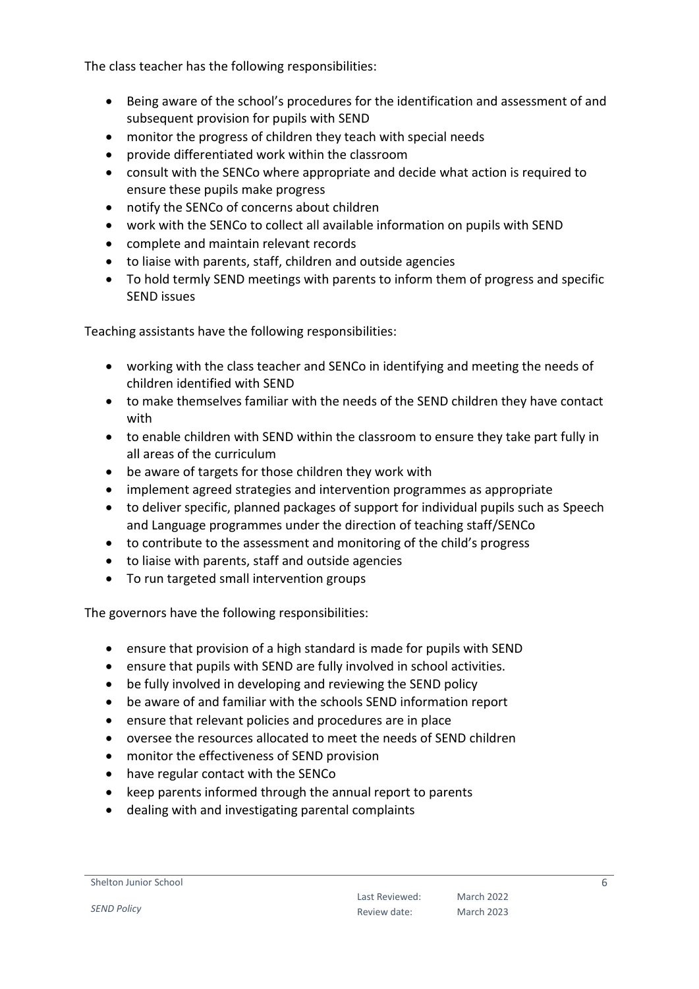The class teacher has the following responsibilities:

- Being aware of the school's procedures for the identification and assessment of and subsequent provision for pupils with SEND
- monitor the progress of children they teach with special needs
- provide differentiated work within the classroom
- consult with the SENCo where appropriate and decide what action is required to ensure these pupils make progress
- notify the SENCo of concerns about children
- work with the SENCo to collect all available information on pupils with SEND
- complete and maintain relevant records
- to liaise with parents, staff, children and outside agencies
- To hold termly SEND meetings with parents to inform them of progress and specific SEND issues

Teaching assistants have the following responsibilities:

- working with the class teacher and SENCo in identifying and meeting the needs of children identified with SEND
- to make themselves familiar with the needs of the SEND children they have contact with
- to enable children with SEND within the classroom to ensure they take part fully in all areas of the curriculum
- be aware of targets for those children they work with
- implement agreed strategies and intervention programmes as appropriate
- to deliver specific, planned packages of support for individual pupils such as Speech and Language programmes under the direction of teaching staff/SENCo
- to contribute to the assessment and monitoring of the child's progress
- to liaise with parents, staff and outside agencies
- To run targeted small intervention groups

The governors have the following responsibilities:

- ensure that provision of a high standard is made for pupils with SEND
- ensure that pupils with SEND are fully involved in school activities.
- be fully involved in developing and reviewing the SEND policy
- be aware of and familiar with the schools SEND information report
- ensure that relevant policies and procedures are in place
- oversee the resources allocated to meet the needs of SEND children
- monitor the effectiveness of SEND provision
- have regular contact with the SENCo
- keep parents informed through the annual report to parents
- dealing with and investigating parental complaints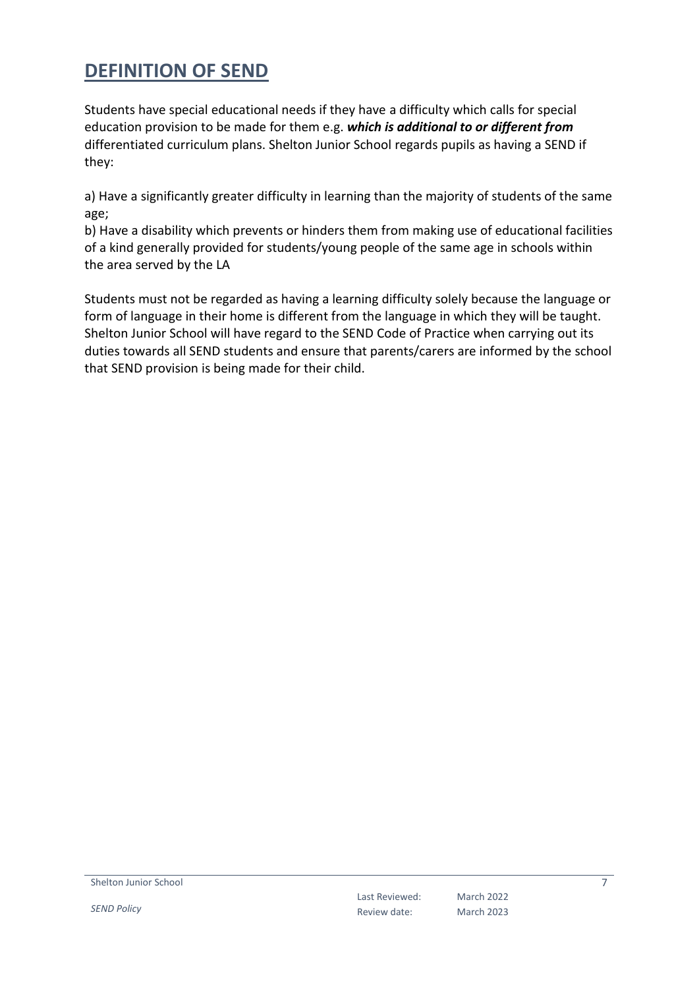# <span id="page-6-0"></span>**DEFINITION OF SEND**

Students have special educational needs if they have a difficulty which calls for special education provision to be made for them e.g. *which is additional to or different from*  differentiated curriculum plans. Shelton Junior School regards pupils as having a SEND if they:

a) Have a significantly greater difficulty in learning than the majority of students of the same age;

b) Have a disability which prevents or hinders them from making use of educational facilities of a kind generally provided for students/young people of the same age in schools within the area served by the LA

Students must not be regarded as having a learning difficulty solely because the language or form of language in their home is different from the language in which they will be taught. Shelton Junior School will have regard to the SEND Code of Practice when carrying out its duties towards all SEND students and ensure that parents/carers are informed by the school that SEND provision is being made for their child.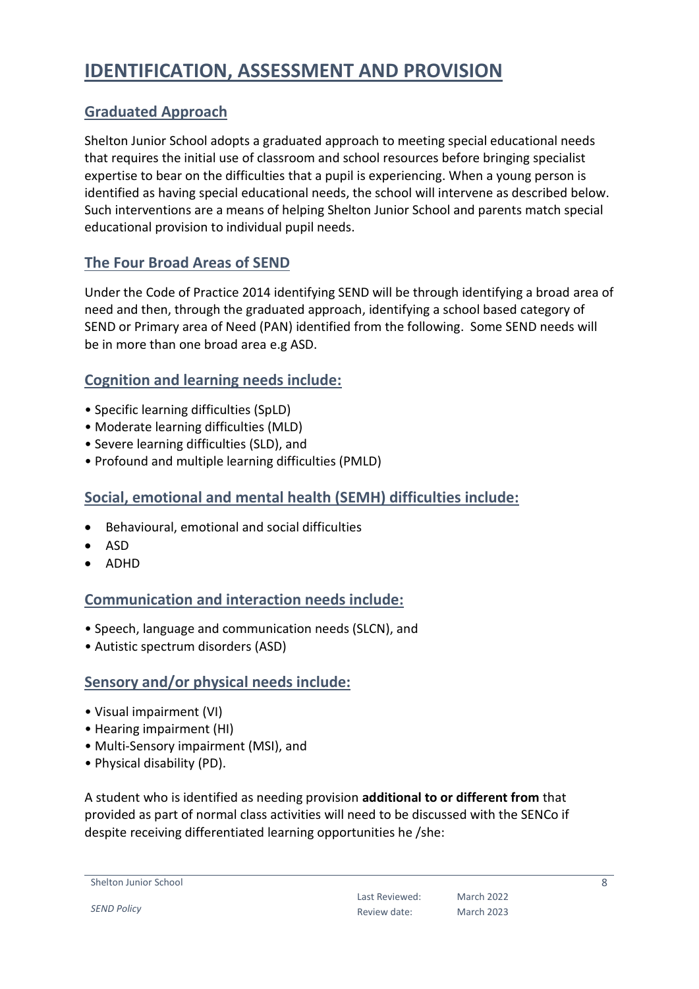# <span id="page-7-0"></span>**IDENTIFICATION, ASSESSMENT AND PROVISION**

### <span id="page-7-1"></span>**Graduated Approach**

Shelton Junior School adopts a graduated approach to meeting special educational needs that requires the initial use of classroom and school resources before bringing specialist expertise to bear on the difficulties that a pupil is experiencing. When a young person is identified as having special educational needs, the school will intervene as described below. Such interventions are a means of helping Shelton Junior School and parents match special educational provision to individual pupil needs.

#### <span id="page-7-2"></span>**The Four Broad Areas of SEND**

Under the Code of Practice 2014 identifying SEND will be through identifying a broad area of need and then, through the graduated approach, identifying a school based category of SEND or Primary area of Need (PAN) identified from the following. Some SEND needs will be in more than one broad area e.g ASD.

#### <span id="page-7-3"></span>**Cognition and learning needs include:**

- Specific learning difficulties (SpLD)
- Moderate learning difficulties (MLD)
- Severe learning difficulties (SLD), and
- Profound and multiple learning difficulties (PMLD)

#### <span id="page-7-4"></span>**Social, emotional and mental health (SEMH) difficulties include:**

- Behavioural, emotional and social difficulties
- ASD
- ADHD

#### <span id="page-7-5"></span>**Communication and interaction needs include:**

- Speech, language and communication needs (SLCN), and
- Autistic spectrum disorders (ASD)

#### <span id="page-7-6"></span>**Sensory and/or physical needs include:**

- Visual impairment (VI)
- Hearing impairment (HI)
- Multi-Sensory impairment (MSI), and
- Physical disability (PD).

A student who is identified as needing provision **additional to or different from** that provided as part of normal class activities will need to be discussed with the SENCo if despite receiving differentiated learning opportunities he /she:

```
Shelton Junior School
```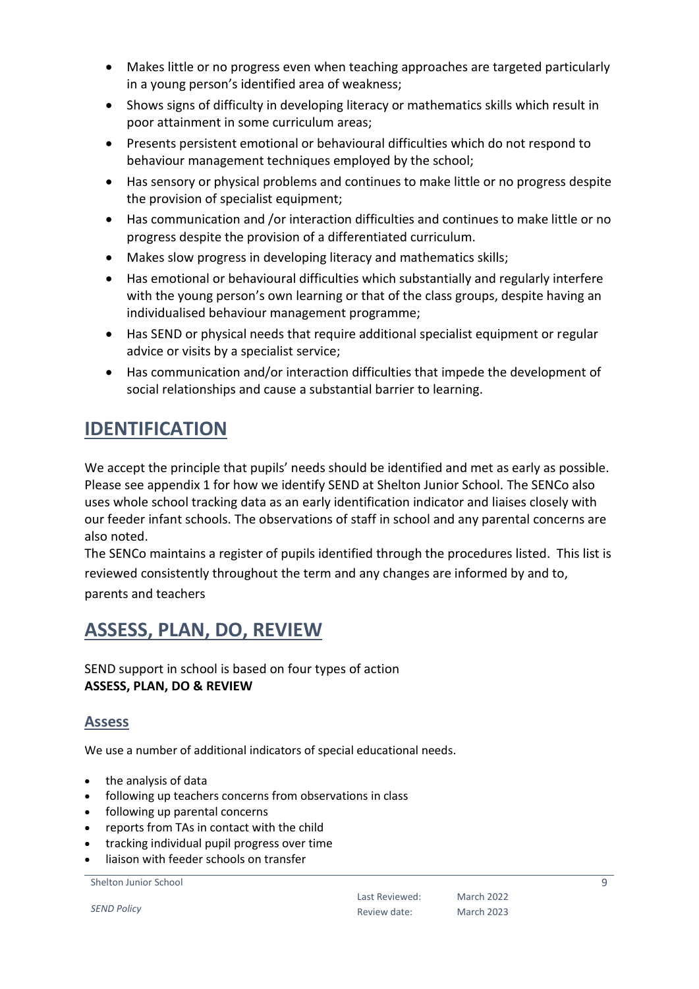- Makes little or no progress even when teaching approaches are targeted particularly in a young person's identified area of weakness;
- Shows signs of difficulty in developing literacy or mathematics skills which result in poor attainment in some curriculum areas;
- Presents persistent emotional or behavioural difficulties which do not respond to behaviour management techniques employed by the school;
- Has sensory or physical problems and continues to make little or no progress despite the provision of specialist equipment;
- Has communication and /or interaction difficulties and continues to make little or no progress despite the provision of a differentiated curriculum.
- Makes slow progress in developing literacy and mathematics skills;
- Has emotional or behavioural difficulties which substantially and regularly interfere with the young person's own learning or that of the class groups, despite having an individualised behaviour management programme;
- Has SEND or physical needs that require additional specialist equipment or regular advice or visits by a specialist service;
- Has communication and/or interaction difficulties that impede the development of social relationships and cause a substantial barrier to learning.

# <span id="page-8-0"></span>**IDENTIFICATION**

We accept the principle that pupils' needs should be identified and met as early as possible. Please see appendix 1 for how we identify SEND at Shelton Junior School. The SENCo also uses whole school tracking data as an early identification indicator and liaises closely with our feeder infant schools. The observations of staff in school and any parental concerns are also noted.

The SENCo maintains a register of pupils identified through the procedures listed. This list is reviewed consistently throughout the term and any changes are informed by and to, parents and teachers

# <span id="page-8-1"></span>**ASSESS, PLAN, DO, REVIEW**

SEND support in school is based on four types of action **ASSESS, PLAN, DO & REVIEW** 

#### <span id="page-8-2"></span>**Assess**

We use a number of additional indicators of special educational needs.

- the analysis of data
- following up teachers concerns from observations in class
- following up parental concerns
- reports from TAs in contact with the child
- tracking individual pupil progress over time
- liaison with feeder schools on transfer

Shelton Junior School

*SEND Policy*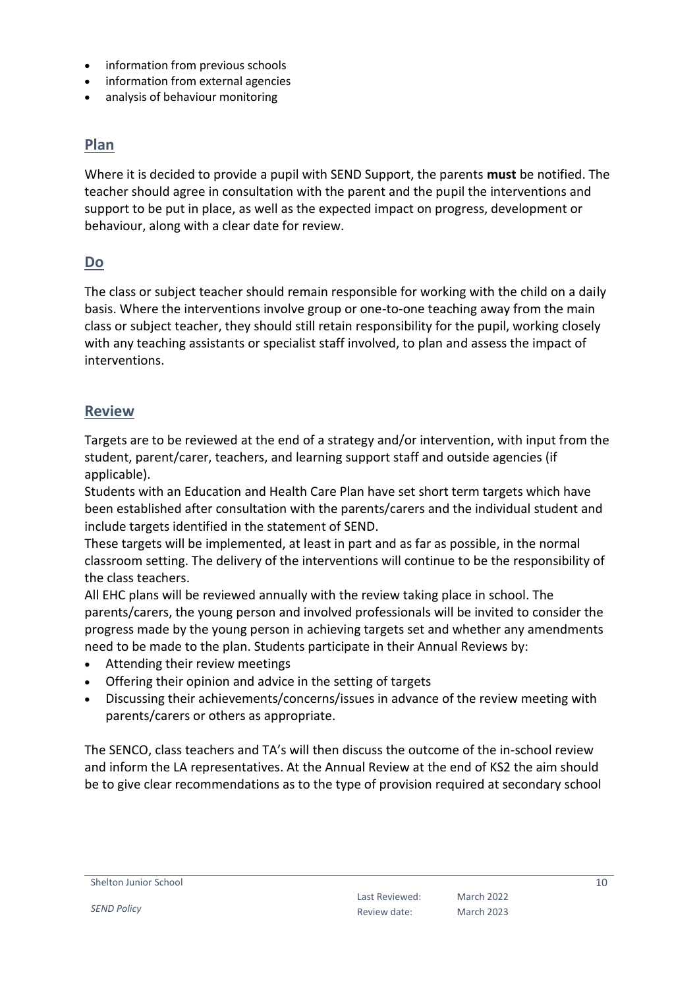- information from previous schools
- information from external agencies
- analysis of behaviour monitoring

#### <span id="page-9-0"></span>**Plan**

Where it is decided to provide a pupil with SEND Support, the parents **must** be notified. The teacher should agree in consultation with the parent and the pupil the interventions and support to be put in place, as well as the expected impact on progress, development or behaviour, along with a clear date for review.

#### <span id="page-9-1"></span>**Do**

The class or subject teacher should remain responsible for working with the child on a daily basis. Where the interventions involve group or one-to-one teaching away from the main class or subject teacher, they should still retain responsibility for the pupil, working closely with any teaching assistants or specialist staff involved, to plan and assess the impact of interventions.

#### <span id="page-9-2"></span>**Review**

Targets are to be reviewed at the end of a strategy and/or intervention, with input from the student, parent/carer, teachers, and learning support staff and outside agencies (if applicable).

Students with an Education and Health Care Plan have set short term targets which have been established after consultation with the parents/carers and the individual student and include targets identified in the statement of SEND.

These targets will be implemented, at least in part and as far as possible, in the normal classroom setting. The delivery of the interventions will continue to be the responsibility of the class teachers.

All EHC plans will be reviewed annually with the review taking place in school. The parents/carers, the young person and involved professionals will be invited to consider the progress made by the young person in achieving targets set and whether any amendments need to be made to the plan. Students participate in their Annual Reviews by:

- Attending their review meetings
- Offering their opinion and advice in the setting of targets
- Discussing their achievements/concerns/issues in advance of the review meeting with parents/carers or others as appropriate.

The SENCO, class teachers and TA's will then discuss the outcome of the in-school review and inform the LA representatives. At the Annual Review at the end of KS2 the aim should be to give clear recommendations as to the type of provision required at secondary school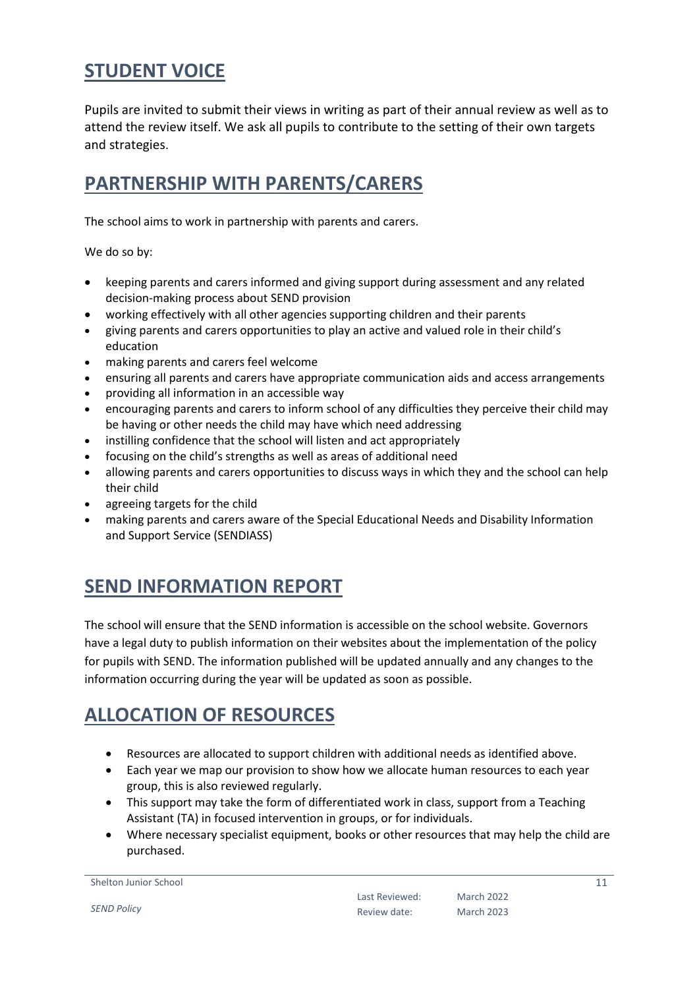# <span id="page-10-0"></span>**STUDENT VOICE**

Pupils are invited to submit their views in writing as part of their annual review as well as to attend the review itself. We ask all pupils to contribute to the setting of their own targets and strategies.

# <span id="page-10-1"></span>**PARTNERSHIP WITH PARENTS/CARERS**

The school aims to work in partnership with parents and carers.

We do so by:

- keeping parents and carers informed and giving support during assessment and any related decision-making process about SEND provision
- working effectively with all other agencies supporting children and their parents
- giving parents and carers opportunities to play an active and valued role in their child's education
- making parents and carers feel welcome
- ensuring all parents and carers have appropriate communication aids and access arrangements
- providing all information in an accessible way
- encouraging parents and carers to inform school of any difficulties they perceive their child may be having or other needs the child may have which need addressing
- instilling confidence that the school will listen and act appropriately
- focusing on the child's strengths as well as areas of additional need
- allowing parents and carers opportunities to discuss ways in which they and the school can help their child
- agreeing targets for the child
- making parents and carers aware of the Special Educational Needs and Disability Information and Support Service (SENDIASS)

# <span id="page-10-2"></span>**SEND INFORMATION REPORT**

The school will ensure that the SEND information is accessible on the school website. Governors have a legal duty to publish information on their websites about the implementation of the policy for pupils with SEND. The information published will be updated annually and any changes to the information occurring during the year will be updated as soon as possible.

# <span id="page-10-3"></span>**ALLOCATION OF RESOURCES**

- Resources are allocated to support children with additional needs as identified above.
- Each year we map our provision to show how we allocate human resources to each year group, this is also reviewed regularly.
- This support may take the form of differentiated work in class, support from a Teaching Assistant (TA) in focused intervention in groups, or for individuals.
- Where necessary specialist equipment, books or other resources that may help the child are purchased.

Shelton Junior School

*SEND Policy*